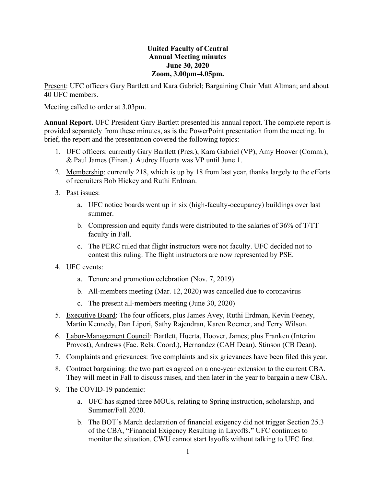## **United Faculty of Central Annual Meeting minutes June 30, 2020 Zoom, 3.00pm-4.05pm.**

Present: UFC officers Gary Bartlett and Kara Gabriel; Bargaining Chair Matt Altman; and about 40 UFC members.

Meeting called to order at 3.03pm.

**Annual Report.** UFC President Gary Bartlett presented his annual report. The complete report is provided separately from these minutes, as is the PowerPoint presentation from the meeting. In brief, the report and the presentation covered the following topics:

- 1. UFC officers: currently Gary Bartlett (Pres.), Kara Gabriel (VP), Amy Hoover (Comm.), & Paul James (Finan.). Audrey Huerta was VP until June 1.
- 2. Membership: currently 218, which is up by 18 from last year, thanks largely to the efforts of recruiters Bob Hickey and Ruthi Erdman.
- 3. Past issues:
	- a. UFC notice boards went up in six (high-faculty-occupancy) buildings over last summer.
	- b. Compression and equity funds were distributed to the salaries of 36% of T/TT faculty in Fall.
	- c. The PERC ruled that flight instructors were not faculty. UFC decided not to contest this ruling. The flight instructors are now represented by PSE.
- 4. UFC events:
	- a. Tenure and promotion celebration (Nov. 7, 2019)
	- b. All-members meeting (Mar. 12, 2020) was cancelled due to coronavirus
	- c. The present all-members meeting (June 30, 2020)
- 5. Executive Board: The four officers, plus James Avey, Ruthi Erdman, Kevin Feeney, Martin Kennedy, Dan Lipori, Sathy Rajendran, Karen Roemer, and Terry Wilson.
- 6. Labor-Management Council: Bartlett, Huerta, Hoover, James; plus Franken (Interim Provost), Andrews (Fac. Rels. Coord.), Hernandez (CAH Dean), Stinson (CB Dean).
- 7. Complaints and grievances: five complaints and six grievances have been filed this year.
- 8. Contract bargaining: the two parties agreed on a one-year extension to the current CBA. They will meet in Fall to discuss raises, and then later in the year to bargain a new CBA.
- 9. The COVID-19 pandemic:
	- a. UFC has signed three MOUs, relating to Spring instruction, scholarship, and Summer/Fall 2020.
	- b. The BOT's March declaration of financial exigency did not trigger Section 25.3 of the CBA, "Financial Exigency Resulting in Layoffs." UFC continues to monitor the situation. CWU cannot start layoffs without talking to UFC first.